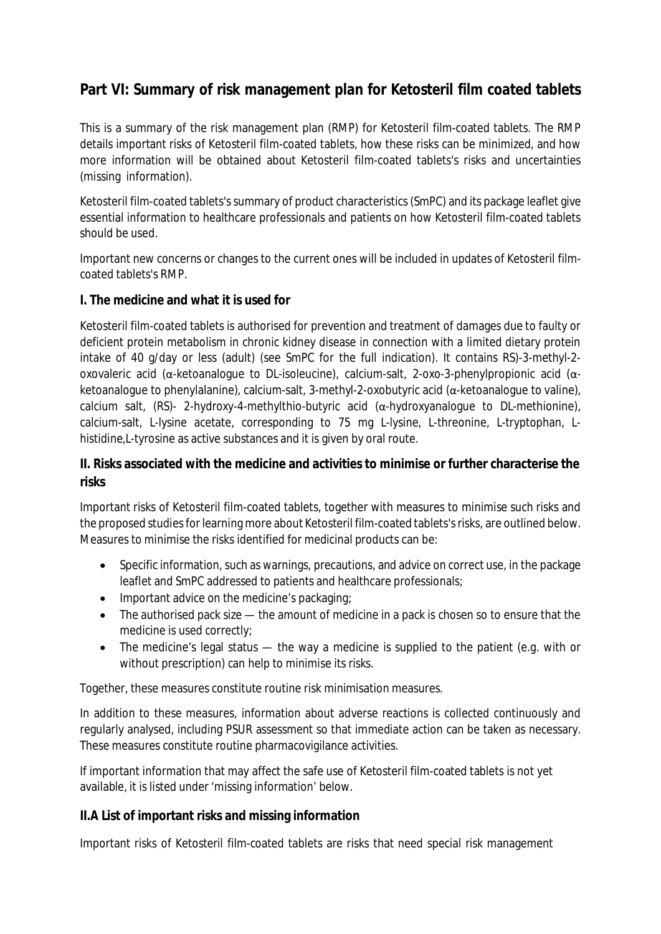## **Part VI: Summary of risk management plan for Ketosteril film coated tablets**

This is a summary of the risk management plan (RMP) for Ketosteril film-coated tablets. The RMP details important risks of Ketosteril film-coated tablets, how these risks can be minimized, and how more information will be obtained about Ketosteril film-coated tablets's risks and uncertainties (missing information).

Ketosteril film-coated tablets's summary of product characteristics (SmPC) and its package leaflet give essential information to healthcare professionals and patients on how Ketosteril film-coated tablets should be used.

Important new concerns or changes to the current ones will be included in updates of Ketosteril filmcoated tablets's RMP.

**I. The medicine and what it is used for**

Ketosteril film-coated tablets is authorised for prevention and treatment of damages due to faulty or deficient protein metabolism in chronic kidney disease in connection with a limited dietary protein intake of 40 g/day or less (adult) (see SmPC for the full indication). It contains RS)-3-methyl-2 oxovaleric acid (α-ketoanalogue to DL-isoleucine), calcium-salt, 2-oxo-3-phenylpropionic acid (αketoanalogue to phenylalanine), calcium-salt, 3-methyl-2-oxobutyric acid (α-ketoanalogue to valine), calcium salt, (RS)- 2-hydroxy-4-methylthio-butyric acid (α-hydroxyanalogue to DL-methionine), calcium-salt, L-lysine acetate, corresponding to 75 mg L-lysine, L-threonine, L-tryptophan, Lhistidine,L-tyrosine as active substances and it is given by oral route.

**II. Risks associated with the medicine and activities to minimise or further characterise the risks**

Important risks of Ketosteril film-coated tablets, together with measures to minimise such risks and the proposed studies for learning more about Ketosteril film-coated tablets's risks, are outlined below. Measures to minimise the risks identified for medicinal products can be:

- Specific information, such as warnings, precautions, and advice on correct use, in the package leaflet and SmPC addressed to patients and healthcare professionals;
- Important advice on the medicine's packaging;
- The authorised pack size the amount of medicine in a pack is chosen so to ensure that the medicine is used correctly;
- The medicine's legal status the way a medicine is supplied to the patient (e.g. with or without prescription) can help to minimise its risks.

Together, these measures constitute routine risk minimisation measures.

In addition to these measures, information about adverse reactions is collected continuously and regularly analysed, including PSUR assessment so that immediate action can be taken as necessary. These measures constitute routine pharmacovigilance activities.

If important information that may affect the safe use of Ketosteril film-coated tablets is not yet available, it is listed under 'missing information' below.

**II.A List of important risks and missing information**

Important risks of Ketosteril film-coated tablets are risks that need special risk management